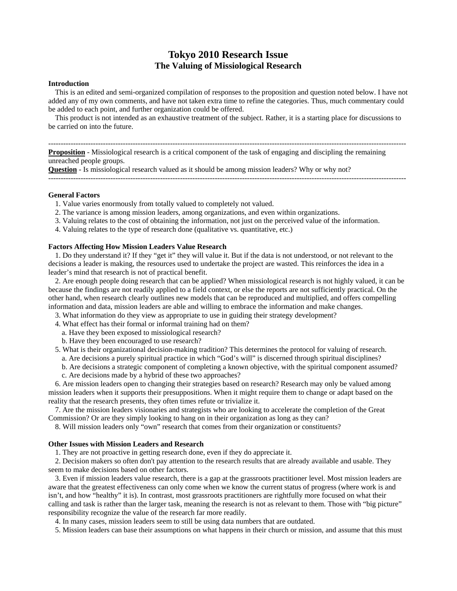# **Tokyo 2010 Research Issue The Valuing of Missiological Research**

#### **Introduction**

 This is an edited and semi-organized compilation of responses to the proposition and question noted below. I have not added any of my own comments, and have not taken extra time to refine the categories. Thus, much commentary could be added to each point, and further organization could be offered.

 This product is not intended as an exhaustive treatment of the subject. Rather, it is a starting place for discussions to be carried on into the future.

------------------------------------------------------------------------------------------------------------------------------------------------

**Proposition** - Missiological research is a critical component of the task of engaging and discipling the remaining unreached people groups.

**Question** - Is missiological research valued as it should be among mission leaders? Why or why not? ------------------------------------------------------------------------------------------------------------------------------------------------

**General Factors** 

- 1. Value varies enormously from totally valued to completely not valued.
- 2. The variance is among mission leaders, among organizations, and even within organizations.
- 3. Valuing relates to the cost of obtaining the information, not just on the perceived value of the information.
- 4. Valuing relates to the type of research done (qualitative vs. quantitative, etc.)

# **Factors Affecting How Mission Leaders Value Research**

 1. Do they understand it? If they "get it" they will value it. But if the data is not understood, or not relevant to the decisions a leader is making, the resources used to undertake the project are wasted. This reinforces the idea in a leader's mind that research is not of practical benefit.

 2. Are enough people doing research that can be applied? When missiological research is not highly valued, it can be because the findings are not readily applied to a field context, or else the reports are not sufficiently practical. On the other hand, when research clearly outlines new models that can be reproduced and multiplied, and offers compelling information and data, mission leaders are able and willing to embrace the information and make changes.

- 3. What information do they view as appropriate to use in guiding their strategy development?
- 4. What effect has their formal or informal training had on them?
	- a. Have they been exposed to missiological research?
	- b. Have they been encouraged to use research?
- 5. What is their organizational decision-making tradition? This determines the protocol for valuing of research.
	- a. Are decisions a purely spiritual practice in which "God's will" is discerned through spiritual disciplines?
	- b. Are decisions a strategic component of completing a known objective, with the spiritual component assumed? c. Are decisions made by a hybrid of these two approaches?
- 6. Are mission leaders open to changing their strategies based on research? Research may only be valued among mission leaders when it supports their presuppositions. When it might require them to change or adapt based on the reality that the research presents, they often times refute or trivialize it.

 7. Are the mission leaders visionaries and strategists who are looking to accelerate the completion of the Great Commission? Or are they simply looking to hang on in their organization as long as they can?

8. Will mission leaders only "own" research that comes from their organization or constituents?

## **Other Issues with Mission Leaders and Research**

1. They are not proactive in getting research done, even if they do appreciate it.

 2. Decision makers so often don't pay attention to the research results that are already available and usable. They seem to make decisions based on other factors.

 3. Even if mission leaders value research, there is a gap at the grassroots practitioner level. Most mission leaders are aware that the greatest effectiveness can only come when we know the current status of progress (where work is and isn't, and how "healthy" it is). In contrast, most grassroots practitioners are rightfully more focused on what their calling and task is rather than the larger task, meaning the research is not as relevant to them. Those with "big picture" responsibility recognize the value of the research far more readily.

4. In many cases, mission leaders seem to still be using data numbers that are outdated.

5. Mission leaders can base their assumptions on what happens in their church or mission, and assume that this must